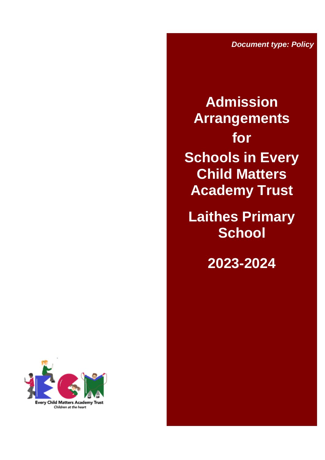*Document type: Policy*

**Admission Arrangements for Schools in Every Child Matters Academy Trust**

**Laithes Primary School**

**2023-2024**

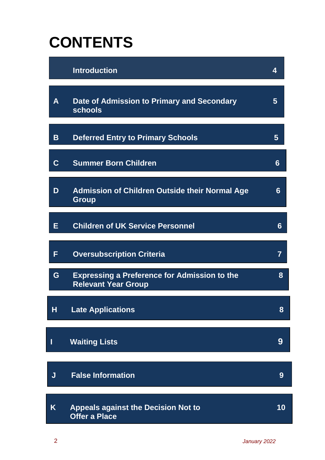# **CONTENTS**

|             | <b>Introduction</b>                                                               | 4  |
|-------------|-----------------------------------------------------------------------------------|----|
| A           | Date of Admission to Primary and Secondary<br>schools                             | 5  |
| B           | <b>Deferred Entry to Primary Schools</b>                                          | 5  |
| $\mathbf C$ | <b>Summer Born Children</b>                                                       | 6  |
| D           | <b>Admission of Children Outside their Normal Age</b><br><b>Group</b>             | 6  |
| Е           | <b>Children of UK Service Personnel</b>                                           | 6  |
| F           | <b>Oversubscription Criteria</b>                                                  | 7  |
| G           | <b>Expressing a Preference for Admission to the</b><br><b>Relevant Year Group</b> | 8  |
| Н           | <b>Late Applications</b>                                                          | 8  |
| I           | <b>Waiting Lists</b>                                                              | 9  |
| J           | <b>False Information</b>                                                          | 9  |
| K.          | <b>Appeals against the Decision Not to</b><br><b>Offer a Place</b>                | 10 |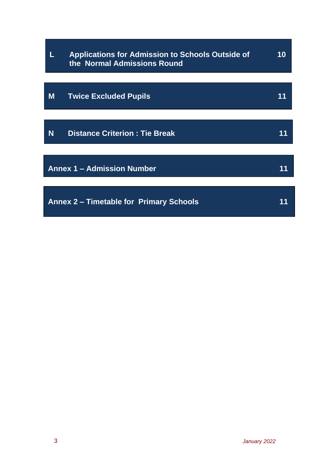|                                         | <b>Applications for Admission to Schools Outside of</b><br>the Normal Admissions Round | 10 |
|-----------------------------------------|----------------------------------------------------------------------------------------|----|
|                                         |                                                                                        |    |
| M                                       | <b>Twice Excluded Pupils</b>                                                           |    |
|                                         |                                                                                        |    |
| N                                       | <b>Distance Criterion: Tie Break</b>                                                   |    |
|                                         |                                                                                        |    |
| <b>Annex 1 - Admission Number</b>       |                                                                                        |    |
|                                         |                                                                                        |    |
| Annex 2 – Timetable for Primary Schools |                                                                                        |    |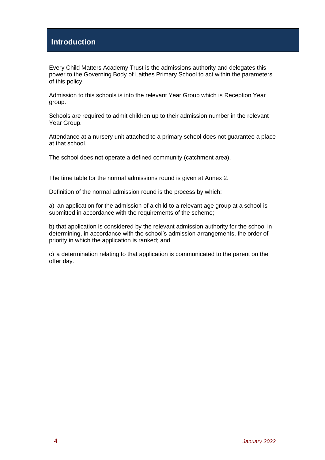# **Introduction**

Every Child Matters Academy Trust is the admissions authority and delegates this power to the Governing Body of Laithes Primary School to act within the parameters of this policy.

Admission to this schools is into the relevant Year Group which is Reception Year group.

Schools are required to admit children up to their admission number in the relevant Year Group.

Attendance at a nursery unit attached to a primary school does not guarantee a place at that school.

The school does not operate a defined community (catchment area).

The time table for the normal admissions round is given at Annex 2.

Definition of the normal admission round is the process by which:

a) an application for the admission of a child to a relevant age group at a school is submitted in accordance with the requirements of the scheme:

b) that application is considered by the relevant admission authority for the school in determining, in accordance with the school's admission arrangements, the order of priority in which the application is ranked; and

c) a determination relating to that application is communicated to the parent on the offer day.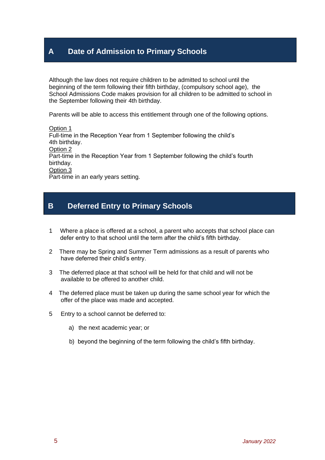# **A Date of Admission to Primary Schools**

Although the law does not require children to be admitted to school until the beginning of the term following their fifth birthday, (compulsory school age), the School Admissions Code makes provision for all children to be admitted to school in the September following their 4th birthday.

Parents will be able to access this entitlement through one of the following options.

Option 1 Full-time in the Reception Year from 1 September following the child's 4th birthday. Option 2 Part-time in the Reception Year from 1 September following the child's fourth birthday. Option 3 Part-time in an early years setting.

## **B Deferred Entry to Primary Schools**

- 1 Where a place is offered at a school, a parent who accepts that school place can defer entry to that school until the term after the child's fifth birthday.
- 2 There may be Spring and Summer Term admissions as a result of parents who have deferred their child's entry.
- 3 The deferred place at that school will be held for that child and will not be available to be offered to another child.
- 4 The deferred place must be taken up during the same school year for which the offer of the place was made and accepted.
- 5 Entry to a school cannot be deferred to:
	- a) the next academic year; or
	- b) beyond the beginning of the term following the child's fifth birthday.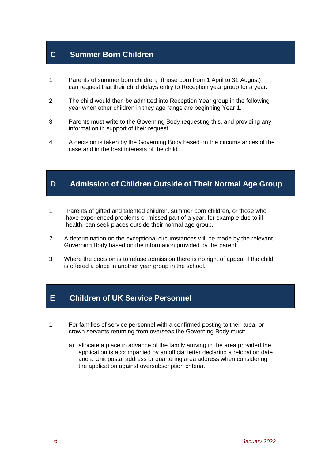## **C Summer Born Children**

- 1 Parents of summer born children, (those born from 1 April to 31 August) can request that their child delays entry to Reception year group for a year.
- 2 The child would then be admitted into Reception Year group in the following year when other children in they age range are beginning Year 1.
- 3 Parents must write to the Governing Body requesting this, and providing any information in support of their request.
- 4 A decision is taken by the Governing Body based on the circumstances of the case and in the best interests of the child.

# **D Admission of Children Outside of Their Normal Age Group**

- 1 Parents of gifted and talented children, summer born children, or those who have experienced problems or missed part of a year, for example due to ill health, can seek places outside their normal age group.
- 2 A determination on the exceptional circumstances will be made by the relevant Governing Body based on the information provided by the parent.
- 3 Where the decision is to refuse admission there is no right of appeal if the child is offered a place in another year group in the school.

#### **E Children of UK Service Personnel**

- 1 For families of service personnel with a confirmed posting to their area, or crown servants returning from overseas the Governing Body must:
	- a) allocate a place in advance of the family arriving in the area provided the application is accompanied by an official letter declaring a relocation date and a Unit postal address or quartering area address when considering the application against oversubscription criteria.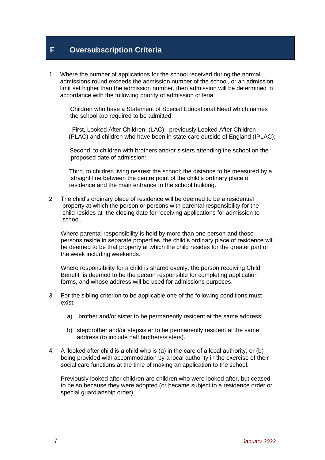## **F Oversubscription Criteria**

1 Where the number of applications for the school received during the normal admissions round exceeds the admission number of the school, or an admission limit set higher than the admission number, then admission will be determined in accordance with the following priority of admission criteria:

 Children who have a Statement of Special Educational Need which names the school are required to be admitted.

 First, Looked After Children (LAC), previously Looked After Children (PLAC) and children who have been in state care outside of England (IPLAC);

 Second, to children with brothers and/or sisters attending the school on the proposed date of admission*;*

 Third, to children living nearest the school; the distance to be measured by a straight line between the centre point of the child's ordinary place of residence and the main entrance to the school building.

2 The child's ordinary place of residence will be deemed to be a residential property at which the person or persons with parental responsibility for the child resides at the closing date for receiving applications for admission to school.

 Where parental responsibility is held by more than one person and those persons reside in separate properties, the child's ordinary place of residence will be deemed to be that property at which the child resides for the greater part of the week including weekends.

 Where responsibility for a child is shared evenly, the person receiving Child Benefit is deemed to be the person responsible for completing application forms, and whose address will be used for admissions purposes.

- 3 For the sibling criterion to be applicable one of the following conditions must exist:
	- a) brother and/or sister to be permanently resident at the same address;
	- b) stepbrother and/or stepsister to be permanently resident at the same address (to include half brothers/sisters).
- 4 A 'looked after child is a child who is (a) in the care of a local authority, or (b) being provided with accommodation by a local authority in the exercise of their social care functions at the time of making an application to the school.

 Previously looked after children are children who were looked after, but ceased to be so because they were adopted (or became subject to a residence order or special guardianship order).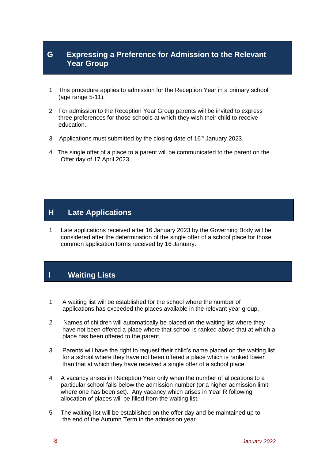## **G Expressing a Preference for Admission to the Relevant Year Group**

- 1 This procedure applies to admission for the Reception Year in a primary school (age range 5-11).
- 2 For admission to the Reception Year Group parents will be invited to express three preferences for those schools at which they wish their child to receive education.
- 3 Applications must submitted by the closing date of 16<sup>th</sup> January 2023.
- 4 The single offer of a place to a parent will be communicated to the parent on the Offer day of 17 April 2023.

#### **H Late Applications**

1 Late applications received after 16 January 2023 by the Governing Body will be considered after the determination of the single offer of a school place for those common application forms received by 16 January.

# **I Waiting Lists**

- 1 A waiting list will be established for the school where the number of applications has exceeded the places available in the relevant year group.
- 2 Names of children will automatically be placed on the waiting list where they have not been offered a place where that school is ranked above that at which a place has been offered to the parent.
- 3 Parents will have the right to request their child's name placed on the waiting list for a school where they have not been offered a place which is ranked lower than that at which they have received a single offer of a school place.
- 4 A vacancy arises in Reception Year only when the number of allocations to a particular school falls below the admission number (or a higher admission limit where one has been set). Any vacancy which arises in Year R following allocation of places will be filled from the waiting list.
- 5 The waiting list will be established on the offer day and be maintained up to the end of the Autumn Term in the admission year.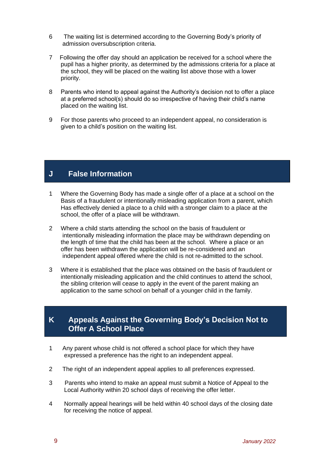- 6 The waiting list is determined according to the Governing Body's priority of admission oversubscription criteria.
- 7 Following the offer day should an application be received for a school where the pupil has a higher priority, as determined by the admissions criteria for a place at the school, they will be placed on the waiting list above those with a lower priority.
- 8 Parents who intend to appeal against the Authority's decision not to offer a place at a preferred school(s) should do so irrespective of having their child's name placed on the waiting list.
- 9 For those parents who proceed to an independent appeal, no consideration is given to a child's position on the waiting list.

## **J False Information**

- 1 Where the Governing Body has made a single offer of a place at a school on the Basis of a fraudulent or intentionally misleading application from a parent, which Has effectively denied a place to a child with a stronger claim to a place at the school, the offer of a place will be withdrawn.
- 2 Where a child starts attending the school on the basis of fraudulent or intentionally misleading information the place may be withdrawn depending on the length of time that the child has been at the school. Where a place or an offer has been withdrawn the application will be re-considered and an independent appeal offered where the child is not re-admitted to the school.
- 3 Where it is established that the place was obtained on the basis of fraudulent or intentionally misleading application and the child continues to attend the school, the sibling criterion will cease to apply in the event of the parent making an application to the same school on behalf of a younger child in the family.

## **K Appeals Against the Governing Body's Decision Not to Offer A School Place**

- 1 Any parent whose child is not offered a school place for which they have expressed a preference has the right to an independent appeal.
- 2 The right of an independent appeal applies to all preferences expressed.
- 3 Parents who intend to make an appeal must submit a Notice of Appeal to the Local Authority within 20 school days of receiving the offer letter.
- 4 Normally appeal hearings will be held within 40 school days of the closing date for receiving the notice of appeal.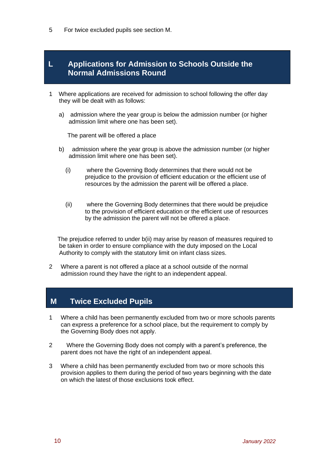5 For twice excluded pupils see section M.

#### **L Applications for Admission to Schools Outside the Normal Admissions Round**

- 1 Where applications are received for admission to school following the offer day they will be dealt with as follows:
	- a) admission where the year group is below the admission number (or higher admission limit where one has been set).

The parent will be offered a place

- b) admission where the year group is above the admission number (or higher admission limit where one has been set).
	- (i) where the Governing Body determines that there would not be prejudice to the provision of efficient education or the efficient use of resources by the admission the parent will be offered a place.
	- (ii) where the Governing Body determines that there would be prejudice to the provision of efficient education or the efficient use of resources by the admission the parent will not be offered a place.

 The prejudice referred to under b(ii) may arise by reason of measures required to be taken in order to ensure compliance with the duty imposed on the Local Authority to comply with the statutory limit on infant class sizes.

2 Where a parent is not offered a place at a school outside of the normal admission round they have the right to an independent appeal.

#### **M Twice Excluded Pupils**

- 1 Where a child has been permanently excluded from two or more schools parents can express a preference for a school place, but the requirement to comply by the Governing Body does not apply.
- 2 Where the Governing Body does not comply with a parent's preference, the parent does not have the right of an independent appeal.
- 3 Where a child has been permanently excluded from two or more schools this provision applies to them during the period of two years beginning with the date on which the latest of those exclusions took effect.